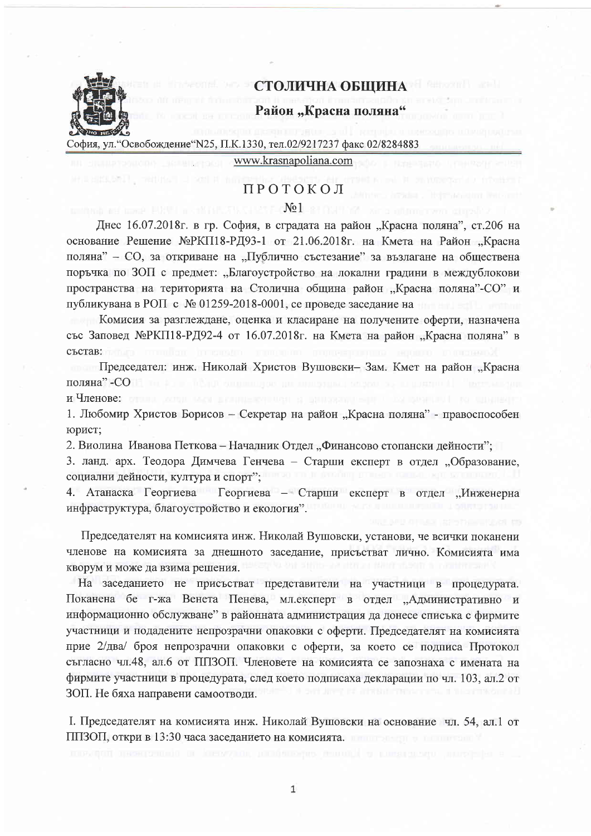

## СТОЛИЧНА ОБЩИНА

## Район "Красна поляна"

София, ул. "Освобождение "N25, П.К.1330, тел.02/9217237 факс 02/8284883

www.krasnapoliana.com

# ПРОТОКОЛ

#### $No1$

Днес 16.07.2018г. в гр. София, в сградата на район "Красна поляна", ст.206 на основание Решение №РКП18-РД93-1 от 21.06.2018г. на Кмета на Район "Красна поляна" - СО, за откриване на "Публично състезание" за възлагане на обществена поръчка по ЗОП с предмет: "Благоустройство на локални градини в междублокови пространства на територията на Столична община район "Красна поляна"-СО" и публикувана в РОП с № 01259-2018-0001, се проведе заседание на

Комисия за разглеждане, оценка и класиране на получените оферти, назначена със Заповед МеРКП18-РД92-4 от 16.07.2018г. на Кмета на район "Красна поляна" в състав:

Председател: инж. Николай Христов Вушовски-Зам. Кмет на район "Красна поляна" - СО

и Членове:

1. Любомир Христов Борисов - Секретар на район "Красна поляна" - правоспособен юрист;

2. Виолина Иванова Петкова - Началник Отдел "Финансово стопански дейности";

3. ланд. арх. Теодора Димчева Генчева - Старши експерт в отдел "Образование, социални дейности, култура и спорт";

4. Атанаска Георгиева – Георгиева – Старши експерт в отдел "Инженерна инфраструктура, благоустройство и екология".

Председателят на комисията инж. Николай Вушовски, установи, че всички поканени членове на комисията за днешното заседание, присъстват лично. Комисията има кворум и може да взима решения.

На заседанието не присъстват представители на участници в процедурата. Поканена бе г-жа Венета Пенева, мл.експерт в отдел "Административно и информационно обслужване" в районната администрация да донесе списъка с фирмите участници и подадените непрозрачни опаковки с оферти. Председателят на комисията прие 2/два/ броя непрозрачни опаковки с оферти, за което се подписа Протокол съгласно чл.48, ал.6 от ППЗОП. Членовете на комисията се запознаха с имената на фирмите участници в процедурата, след което подписаха декларации по чл. 103, ал.2 от ЗОП. Не бяха направени самоотводи.

І. Председателят на комисията инж. Николай Вушовски на основание чл. 54, ал.1 от ППЗОП, откри в 13:30 часа заседанието на комисията.

 $1\,$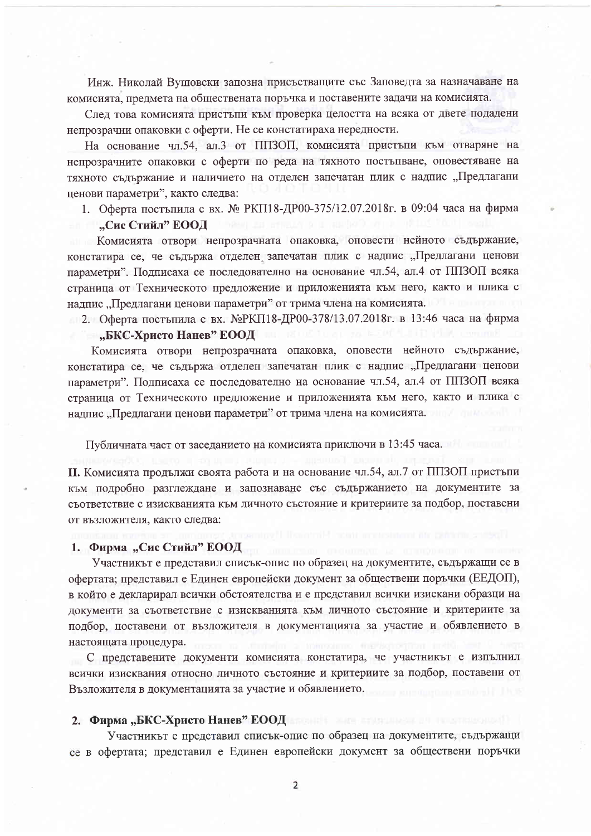Инж. Николай Вушовски запозна присъстващите със Заповедта за назначаване на комисията, предмета на обществената поръчка и поставените задачи на комисията.

След това комисията пристъпи към проверка целостта на всяка от двете подадени непрозрачни опаковки с оферти. Не се констатираха нередности.

На основание чл.54, ал.3 от ППЗОП, комисията пристъпи към отваряне на непрозрачните опаковки с оферти по реда на тяхното постъпване, оповестяване на тяхното съдържание и наличието на отделен запечатан плик с надпис "Предлагани ценови параметри", както следва:

1. Оферта постъпила с вх. № РКП18-ДР00-375/12.07.2018г. в 09:04 часа на фирма

### "Сис Стийл" ЕООД

Комисията отвори непрозрачната опаковка, оповести нейното съдържание, констатира се, че съдържа отделен запечатан плик с надпис "Предлагани ценови параметри". Подписаха се последователно на основание чл.54, ал.4 от ППЗОП всяка страница от Техническото предложение и приложенията към него, както и плика с надпис "Предлагани ценови параметри" от трима члена на комисията.

2. Оферта постъпила с вх. №РКП18-ДР00-378/13.07.2018г. в 13:46 часа на фирма

## "БКС-Христо Нанев" ЕООД

Комисията отвори непрозрачната опаковка, оповести нейното съдържание, констатира се, че съдържа отделен запечатан плик с надпис "Предлагани ценови параметри". Подписаха се последователно на основание чл.54, ал.4 от ППЗОП всяка страница от Техническото предложение и приложенията към него, както и плика с надпис "Предлагани ценови параметри" от трима члена на комисията.

Публичната част от заседанието на комисията приключи в 13:45 часа.

П. Комисията продължи своята работа и на основание чл.54, ал.7 от ППЗОП пристъпи към подробно разглеждане и запознаване със съдържанието на документите за съответствие с изискванията към личното състояние и критериите за подбор, поставени от възложителя, както следва:

#### 1. Фирма "Сис Стийл" ЕООД

Участникът е представил списък-опис по образец на документите, съдържащи се в офертата; представил е Единен европейски документ за обществени поръчки (ЕЕДОП), в който е декларирал всички обстоятелства и е представил всички изискани образци на документи за съответствие с изискванията към личното състояние и критериите за подбор, поставени от възложителя в документацията за участие и обявлението в настоящата процедура.

С представените документи комисията констатира, че участникът е изпълнил всички изисквания относно личното състояние и критериите за подбор, поставени от Възложителя в документацията за участие и обявлението.

#### 2. Фирма "БКС-Христо Нанев" ЕООД

Участникът е представил списък-опис по образец на документите, съдържащи се в офертата; представил е Единен европейски документ за обществени поръчки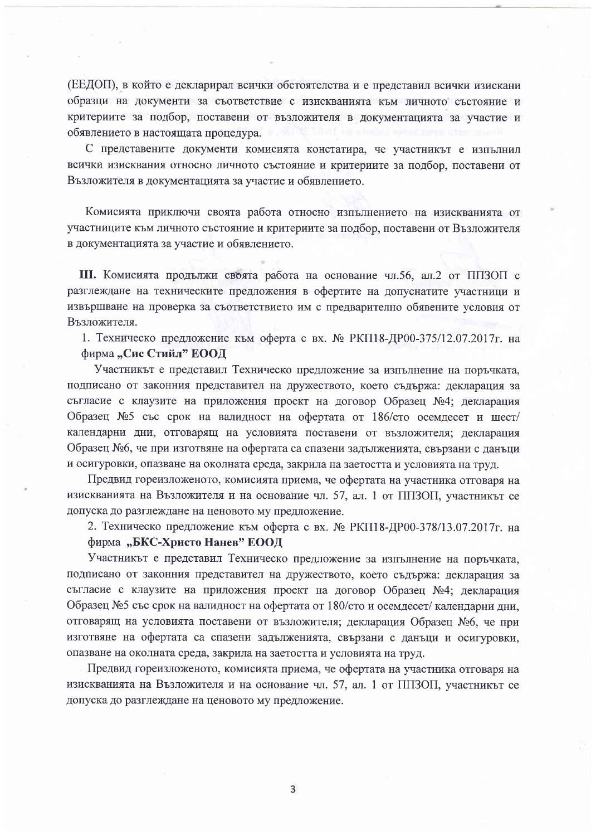(ЕЕДОП), в който е декларирал всички обстоятелства и е представил всички изискани образци на документи за съответствие с изискванията към личното състояние и критериите за подбор, поставени от възложителя в документацията за участие и обявлението в настоящата процедура.

С представените документи комисията констатира, че участникът е изпълнил всички изисквания относно личното състояние и критериите за подбор, поставени от Възложителя в документацията за участие и обявлението.

Комисията приключи своята работа относно изпълнението на изискванията от участниците към личното състояние и критериите за подбор, поставени от Възложителя в документацията за участие и обявлението.

Ш. Комисията продължи своята работа на основание чл.56, ал.2 от ППЗОП с разглеждане на техническите предложения в офертите на допуснатите участници и извършване на проверка за съответствието им с предварително обявените условия от Възложителя.

1. Техническо предложение към оферта с вх. № РКП18-ДР00-375/12.07.2017г. на фирма "Сис Стийл" ЕООД

Участникът е представил Техническо предложение за изпълнение на поръчката, подписано от законния представител на дружеството, което съдържа: декларация за съгласие с клаузите на приложения проект на договор Образец №4; декларация Образец №5 със срок на валидност на офертата от 186/сто осемдесет и шест/ календарни дни, отговарящ на условията поставени от възложителя; декларация Образец №6, че при изготвяне на офертата са спазени задълженията, свързани с данъци и осигуровки, опазване на околната среда, закрила на заетостта и условията на труд.

Предвид гореизложеното, комисията приема, че офертата на участника отговаря на изискванията на Възложителя и на основание чл. 57, ал. 1 от ППЗОП, участникът се допуска до разглеждане на ценовото му предложение.

2. Техническо предложение към оферта с вх. № РКП18-ДР00-378/13.07.2017г. на

### фирма "БКС-Христо Нанев" ЕООД

Участникът е представил Техническо предложение за изпълнение на поръчката, подписано от законния представител на дружеството, което съдържа: декларация за съгласие с клаузите на приложения проект на договор Образец №4; декларация Образец №5 със срок на валидност на офертата от 180/сто и осемдесет/ календарни дни, отговарящ на условията поставени от възложителя; декларация Образец №6, че при изготвяне на офертата са спазени задълженията, свързани с данъци и осигуровки, опазване на околната среда, закрила на заетостта и условията на труд.

Предвид гореизложеното, комисията приема, че офертата на участника отговаря на изискванията на Възложителя и на основание чл. 57, ал. 1 от ППЗОП, участникът се допуска до разглеждане на ценовото му предложение.